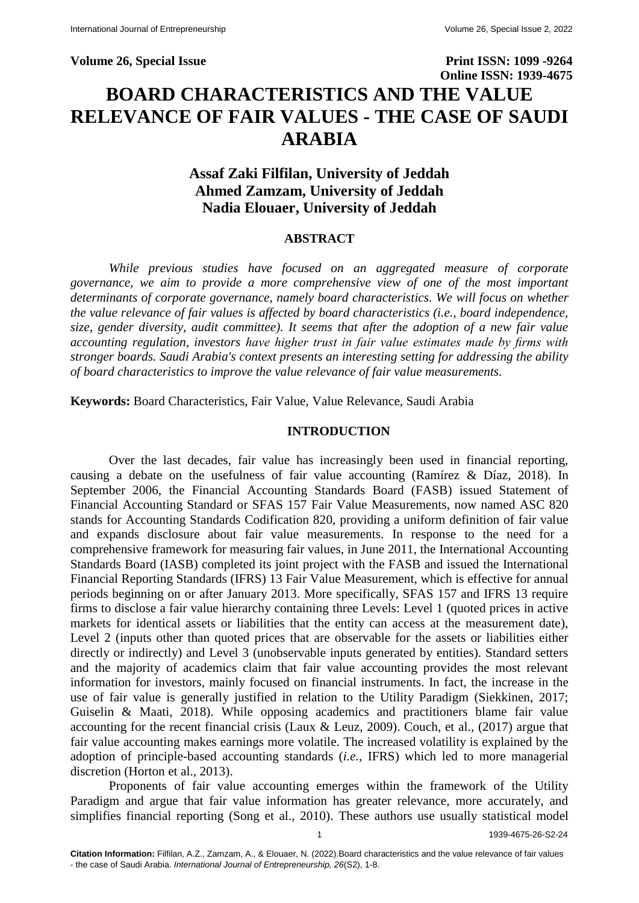### **Volume 26, Special Issue Print ISSN: 1099 -9264**

# **Online ISSN: 1939-4675 BOARD CHARACTERISTICS AND THE VALUE RELEVANCE OF FAIR VALUES - THE CASE OF SAUDI ARABIA**

## **Assaf Zaki Filfilan, University of Jeddah Ahmed Zamzam, University of Jeddah Nadia Elouaer, University of Jeddah**

### **ABSTRACT**

*While previous studies have focused on an aggregated measure of corporate governance, we aim to provide a more comprehensive view of one of the most important determinants of corporate governance, namely board characteristics. We will focus on whether the value relevance of fair values is affected by board characteristics (i.e., board independence, size, gender diversity, audit committee). It seems that after the adoption of a new fair value accounting regulation, investors have higher trust in fair value estimates made by firms with stronger boards. Saudi Arabia's context presents an interesting setting for addressing the ability of board characteristics to improve the value relevance of fair value measurements.*

**Keywords:** Board Characteristics, Fair Value, Value Relevance, Saudi Arabia

### **INTRODUCTION**

Over the last decades, fair value has increasingly been used in financial reporting, causing a debate on the usefulness of fair value accounting (Ramírez & Díaz, 2018). In September 2006, the Financial Accounting Standards Board (FASB) issued Statement of Financial Accounting Standard or SFAS 157 Fair Value Measurements, now named ASC 820 stands for Accounting Standards Codification 820, providing a uniform definition of fair value and expands disclosure about fair value measurements. In response to the need for a comprehensive framework for measuring fair values, in June 2011, the International Accounting Standards Board (IASB) completed its joint project with the FASB and issued the International Financial Reporting Standards (IFRS) 13 Fair Value Measurement, which is effective for annual periods beginning on or after January 2013. More specifically, SFAS 157 and IFRS 13 require firms to disclose a fair value hierarchy containing three Levels: Level 1 (quoted prices in active markets for identical assets or liabilities that the entity can access at the measurement date), Level 2 (inputs other than quoted prices that are observable for the assets or liabilities either directly or indirectly) and Level 3 (unobservable inputs generated by entities). Standard setters and the majority of academics claim that fair value accounting provides the most relevant information for investors, mainly focused on financial instruments. In fact, the increase in the use of fair value is generally justified in relation to the Utility Paradigm (Siekkinen, 2017; Guiselin & Maati, 2018). While opposing academics and practitioners blame fair value accounting for the recent financial crisis (Laux  $\&$  Leuz, 2009). Couch, et al., (2017) argue that fair value accounting makes earnings more volatile. The increased volatility is explained by the adoption of principle-based accounting standards (*i.e.,* IFRS) which led to more managerial discretion (Horton et al., 2013).

Proponents of fair value accounting emerges within the framework of the Utility Paradigm and argue that fair value information has greater relevance, more accurately, and simplifies financial reporting (Song et al., 2010). These authors use usually statistical model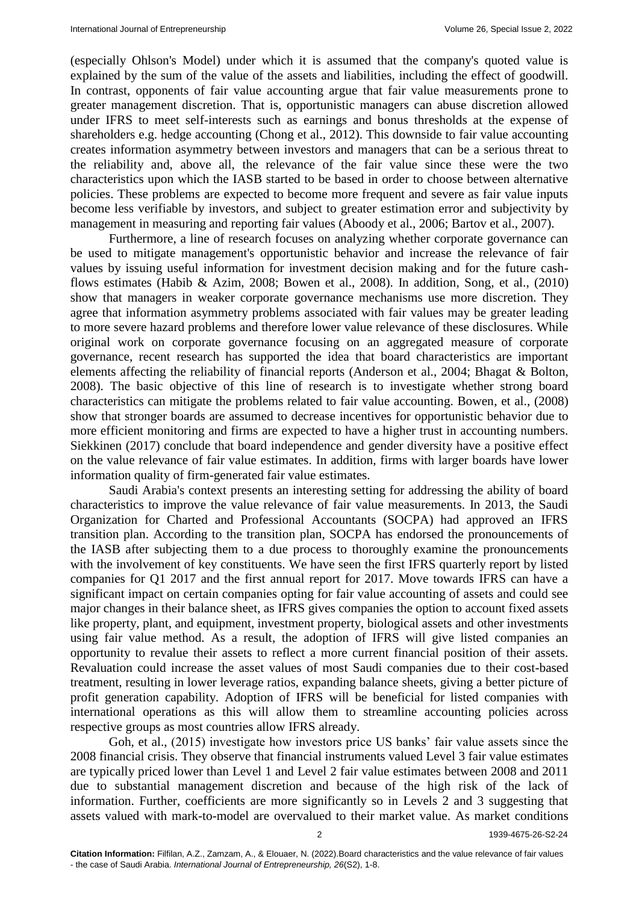(especially Ohlson's Model) under which it is assumed that the company's quoted value is explained by the sum of the value of the assets and liabilities, including the effect of goodwill. In contrast, opponents of fair value accounting argue that fair value measurements prone to greater management discretion. That is, opportunistic managers can abuse discretion allowed under IFRS to meet self-interests such as earnings and bonus thresholds at the expense of shareholders e.g. hedge accounting (Chong et al., 2012). This downside to fair value accounting creates information asymmetry between investors and managers that can be a serious threat to the reliability and, above all, the relevance of the fair value since these were the two characteristics upon which the IASB started to be based in order to choose between alternative policies. These problems are expected to become more frequent and severe as fair value inputs become less verifiable by investors, and subject to greater estimation error and subjectivity by management in measuring and reporting fair values (Aboody et al., 2006; Bartov et al., 2007).

Furthermore, a line of research focuses on analyzing whether corporate governance can be used to mitigate management's opportunistic behavior and increase the relevance of fair values by issuing useful information for investment decision making and for the future cashflows estimates (Habib & Azim, 2008; Bowen et al., 2008). In addition, Song, et al., (2010) show that managers in weaker corporate governance mechanisms use more discretion. They agree that information asymmetry problems associated with fair values may be greater leading to more severe hazard problems and therefore lower value relevance of these disclosures. While original work on corporate governance focusing on an aggregated measure of corporate governance, recent research has supported the idea that board characteristics are important elements affecting the reliability of financial reports (Anderson et al., 2004; Bhagat & Bolton, 2008). The basic objective of this line of research is to investigate whether strong board characteristics can mitigate the problems related to fair value accounting. Bowen, et al., (2008) show that stronger boards are assumed to decrease incentives for opportunistic behavior due to more efficient monitoring and firms are expected to have a higher trust in accounting numbers. Siekkinen (2017) conclude that board independence and gender diversity have a positive effect on the value relevance of fair value estimates. In addition, firms with larger boards have lower information quality of firm-generated fair value estimates.

Saudi Arabia's context presents an interesting setting for addressing the ability of board characteristics to improve the value relevance of fair value measurements. In 2013, the Saudi Organization for Charted and Professional Accountants (SOCPA) had approved an IFRS transition plan. According to the transition plan, SOCPA has endorsed the pronouncements of the IASB after subjecting them to a due process to thoroughly examine the pronouncements with the involvement of key constituents. We have seen the first IFRS quarterly report by listed companies for Q1 2017 and the first annual report for 2017. Move towards IFRS can have a significant impact on certain companies opting for fair value accounting of assets and could see major changes in their balance sheet, as IFRS gives companies the option to account fixed assets like property, plant, and equipment, investment property, biological assets and other investments using fair value method. As a result, the adoption of IFRS will give listed companies an opportunity to revalue their assets to reflect a more current financial position of their assets. Revaluation could increase the asset values of most Saudi companies due to their cost-based treatment, resulting in lower leverage ratios, expanding balance sheets, giving a better picture of profit generation capability. Adoption of IFRS will be beneficial for listed companies with international operations as this will allow them to streamline accounting policies across respective groups as most countries allow IFRS already.

Goh, et al., (2015) investigate how investors price US banks' fair value assets since the 2008 financial crisis. They observe that financial instruments valued Level 3 fair value estimates are typically priced lower than Level 1 and Level 2 fair value estimates between 2008 and 2011 due to substantial management discretion and because of the high risk of the lack of information. Further, coefficients are more significantly so in Levels 2 and 3 suggesting that assets valued with mark-to-model are overvalued to their market value. As market conditions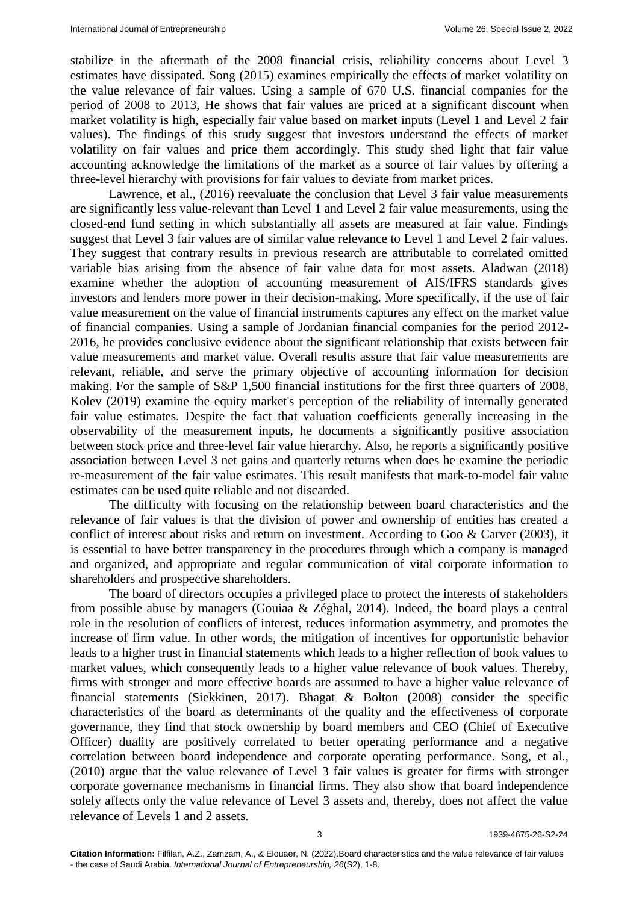stabilize in the aftermath of the 2008 financial crisis, reliability concerns about Level 3 estimates have dissipated. Song (2015) examines empirically the effects of market volatility on the value relevance of fair values. Using a sample of 670 U.S. financial companies for the period of 2008 to 2013, He shows that fair values are priced at a significant discount when market volatility is high, especially fair value based on market inputs (Level 1 and Level 2 fair values). The findings of this study suggest that investors understand the effects of market volatility on fair values and price them accordingly. This study shed light that fair value accounting acknowledge the limitations of the market as a source of fair values by offering a three-level hierarchy with provisions for fair values to deviate from market prices.

Lawrence, et al., (2016) reevaluate the conclusion that Level 3 fair value measurements are significantly less value-relevant than Level 1 and Level 2 fair value measurements, using the closed-end fund setting in which substantially all assets are measured at fair value. Findings suggest that Level 3 fair values are of similar value relevance to Level 1 and Level 2 fair values. They suggest that contrary results in previous research are attributable to correlated omitted variable bias arising from the absence of fair value data for most assets. Aladwan (2018) examine whether the adoption of accounting measurement of AIS/IFRS standards gives investors and lenders more power in their decision-making. More specifically, if the use of fair value measurement on the value of financial instruments captures any effect on the market value of financial companies. Using a sample of Jordanian financial companies for the period 2012- 2016, he provides conclusive evidence about the significant relationship that exists between fair value measurements and market value. Overall results assure that fair value measurements are relevant, reliable, and serve the primary objective of accounting information for decision making. For the sample of S&P 1,500 financial institutions for the first three quarters of 2008, Kolev (2019) examine the equity market's perception of the reliability of internally generated fair value estimates. Despite the fact that valuation coefficients generally increasing in the observability of the measurement inputs, he documents a significantly positive association between stock price and three-level fair value hierarchy. Also, he reports a significantly positive association between Level 3 net gains and quarterly returns when does he examine the periodic re-measurement of the fair value estimates. This result manifests that mark-to-model fair value estimates can be used quite reliable and not discarded.

The difficulty with focusing on the relationship between board characteristics and the relevance of fair values is that the division of power and ownership of entities has created a conflict of interest about risks and return on investment. According to Goo & Carver (2003), it is essential to have better transparency in the procedures through which a company is managed and organized, and appropriate and regular communication of vital corporate information to shareholders and prospective shareholders.

The board of directors occupies a privileged place to protect the interests of stakeholders from possible abuse by managers (Gouiaa & Zéghal, 2014). Indeed, the board plays a central role in the resolution of conflicts of interest, reduces information asymmetry, and promotes the increase of firm value. In other words, the mitigation of incentives for opportunistic behavior leads to a higher trust in financial statements which leads to a higher reflection of book values to market values, which consequently leads to a higher value relevance of book values. Thereby, firms with stronger and more effective boards are assumed to have a higher value relevance of financial statements (Siekkinen, 2017). Bhagat & Bolton (2008) consider the specific characteristics of the board as determinants of the quality and the effectiveness of corporate governance, they find that stock ownership by board members and CEO (Chief of Executive Officer) duality are positively correlated to better operating performance and a negative correlation between board independence and corporate operating performance. Song, et al., (2010) argue that the value relevance of Level 3 fair values is greater for firms with stronger corporate governance mechanisms in financial firms. They also show that board independence solely affects only the value relevance of Level 3 assets and, thereby, does not affect the value relevance of Levels 1 and 2 assets.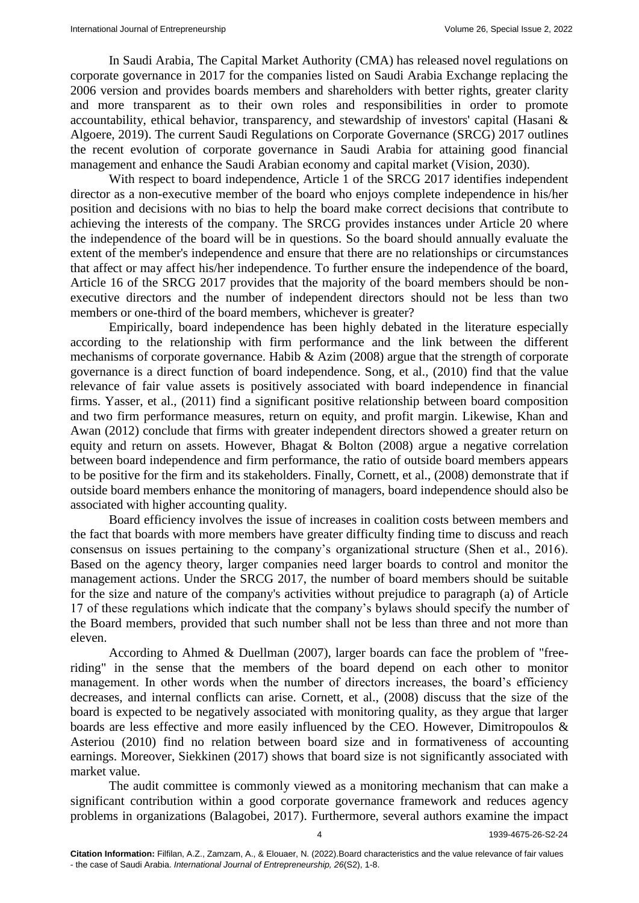In Saudi Arabia, The Capital Market Authority (CMA) has released novel regulations on corporate governance in 2017 for the companies listed on Saudi Arabia Exchange replacing the 2006 version and provides boards members and shareholders with better rights, greater clarity and more transparent as to their own roles and responsibilities in order to promote accountability, ethical behavior, transparency, and stewardship of investors' capital (Hasani & Algoere, 2019). The current Saudi Regulations on Corporate Governance (SRCG) 2017 outlines the recent evolution of corporate governance in Saudi Arabia for attaining good financial management and enhance the Saudi Arabian economy and capital market (Vision, 2030).

With respect to board independence, Article 1 of the SRCG 2017 identifies independent director as a non-executive member of the board who enjoys complete independence in his/her position and decisions with no bias to help the board make correct decisions that contribute to achieving the interests of the company. The SRCG provides instances under Article 20 where the independence of the board will be in questions. So the board should annually evaluate the extent of the member's independence and ensure that there are no relationships or circumstances that affect or may affect his/her independence. To further ensure the independence of the board, Article 16 of the SRCG 2017 provides that the majority of the board members should be nonexecutive directors and the number of independent directors should not be less than two members or one-third of the board members, whichever is greater?

Empirically, board independence has been highly debated in the literature especially according to the relationship with firm performance and the link between the different mechanisms of corporate governance. Habib & Azim (2008) argue that the strength of corporate governance is a direct function of board independence. Song, et al., (2010) find that the value relevance of fair value assets is positively associated with board independence in financial firms. Yasser, et al., (2011) find a significant positive relationship between board composition and two firm performance measures, return on equity, and profit margin. Likewise, Khan and Awan (2012) conclude that firms with greater independent directors showed a greater return on equity and return on assets. However, Bhagat & Bolton (2008) argue a negative correlation between board independence and firm performance, the ratio of outside board members appears to be positive for the firm and its stakeholders. Finally, Cornett, et al., (2008) demonstrate that if outside board members enhance the monitoring of managers, board independence should also be associated with higher accounting quality.

Board efficiency involves the issue of increases in coalition costs between members and the fact that boards with more members have greater difficulty finding time to discuss and reach consensus on issues pertaining to the company's organizational structure (Shen et al., 2016). Based on the agency theory, larger companies need larger boards to control and monitor the management actions. Under the SRCG 2017, the number of board members should be suitable for the size and nature of the company's activities without prejudice to paragraph (a) of Article 17 of these regulations which indicate that the company's bylaws should specify the number of the Board members, provided that such number shall not be less than three and not more than eleven.

According to Ahmed & Duellman (2007), larger boards can face the problem of "freeriding" in the sense that the members of the board depend on each other to monitor management. In other words when the number of directors increases, the board's efficiency decreases, and internal conflicts can arise. Cornett, et al., (2008) discuss that the size of the board is expected to be negatively associated with monitoring quality, as they argue that larger boards are less effective and more easily influenced by the CEO. However, Dimitropoulos & Asteriou (2010) find no relation between board size and in formativeness of accounting earnings. Moreover, Siekkinen (2017) shows that board size is not significantly associated with market value.

The audit committee is commonly viewed as a monitoring mechanism that can make a significant contribution within a good corporate governance framework and reduces agency problems in organizations (Balagobei, 2017). Furthermore, several authors examine the impact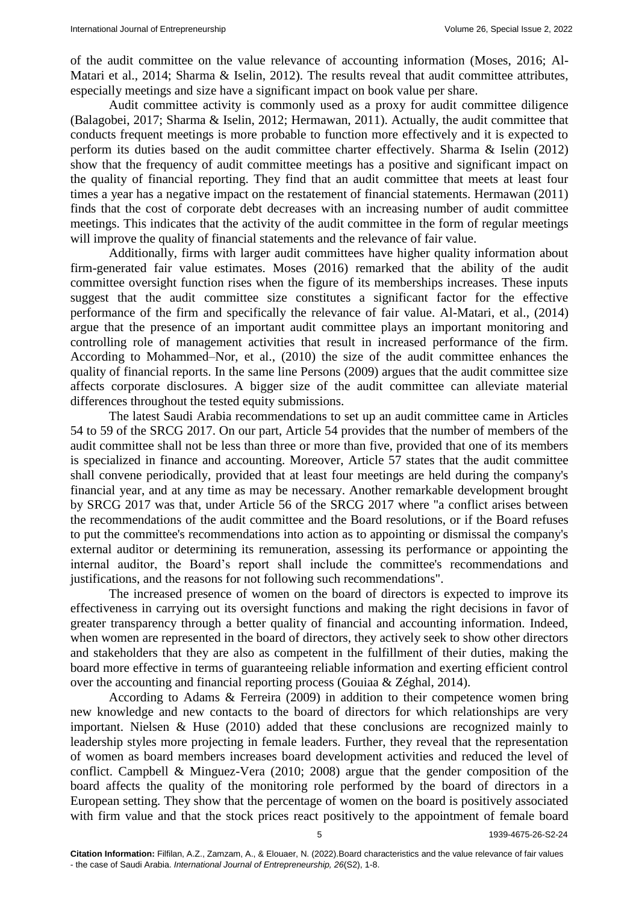of the audit committee on the value relevance of accounting information (Moses, 2016; Al-Matari et al., 2014; Sharma & Iselin, 2012). The results reveal that audit committee attributes, especially meetings and size have a significant impact on book value per share.

Audit committee activity is commonly used as a proxy for audit committee diligence (Balagobei, 2017; Sharma & Iselin, 2012; Hermawan, 2011). Actually, the audit committee that conducts frequent meetings is more probable to function more effectively and it is expected to perform its duties based on the audit committee charter effectively. Sharma & Iselin (2012) show that the frequency of audit committee meetings has a positive and significant impact on the quality of financial reporting. They find that an audit committee that meets at least four times a year has a negative impact on the restatement of financial statements. Hermawan (2011) finds that the cost of corporate debt decreases with an increasing number of audit committee meetings. This indicates that the activity of the audit committee in the form of regular meetings will improve the quality of financial statements and the relevance of fair value.

Additionally, firms with larger audit committees have higher quality information about firm-generated fair value estimates. Moses (2016) remarked that the ability of the audit committee oversight function rises when the figure of its memberships increases. These inputs suggest that the audit committee size constitutes a significant factor for the effective performance of the firm and specifically the relevance of fair value. Al-Matari, et al., (2014) argue that the presence of an important audit committee plays an important monitoring and controlling role of management activities that result in increased performance of the firm. According to Mohammed–Nor, et al., (2010) the size of the audit committee enhances the quality of financial reports. In the same line Persons (2009) argues that the audit committee size affects corporate disclosures. A bigger size of the audit committee can alleviate material differences throughout the tested equity submissions.

The latest Saudi Arabia recommendations to set up an audit committee came in Articles 54 to 59 of the SRCG 2017. On our part, Article 54 provides that the number of members of the audit committee shall not be less than three or more than five, provided that one of its members is specialized in finance and accounting. Moreover, Article 57 states that the audit committee shall convene periodically, provided that at least four meetings are held during the company's financial year, and at any time as may be necessary. Another remarkable development brought by SRCG 2017 was that, under Article 56 of the SRCG 2017 where "a conflict arises between the recommendations of the audit committee and the Board resolutions, or if the Board refuses to put the committee's recommendations into action as to appointing or dismissal the company's external auditor or determining its remuneration, assessing its performance or appointing the internal auditor, the Board's report shall include the committee's recommendations and justifications, and the reasons for not following such recommendations".

The increased presence of women on the board of directors is expected to improve its effectiveness in carrying out its oversight functions and making the right decisions in favor of greater transparency through a better quality of financial and accounting information. Indeed, when women are represented in the board of directors, they actively seek to show other directors and stakeholders that they are also as competent in the fulfillment of their duties, making the board more effective in terms of guaranteeing reliable information and exerting efficient control over the accounting and financial reporting process (Gouiaa & Zéghal, 2014).

According to Adams & Ferreira (2009) in addition to their competence women bring new knowledge and new contacts to the board of directors for which relationships are very important. Nielsen & Huse (2010) added that these conclusions are recognized mainly to leadership styles more projecting in female leaders. Further, they reveal that the representation of women as board members increases board development activities and reduced the level of conflict. Campbell & Minguez-Vera (2010; 2008) argue that the gender composition of the board affects the quality of the monitoring role performed by the board of directors in a European setting. They show that the percentage of women on the board is positively associated with firm value and that the stock prices react positively to the appointment of female board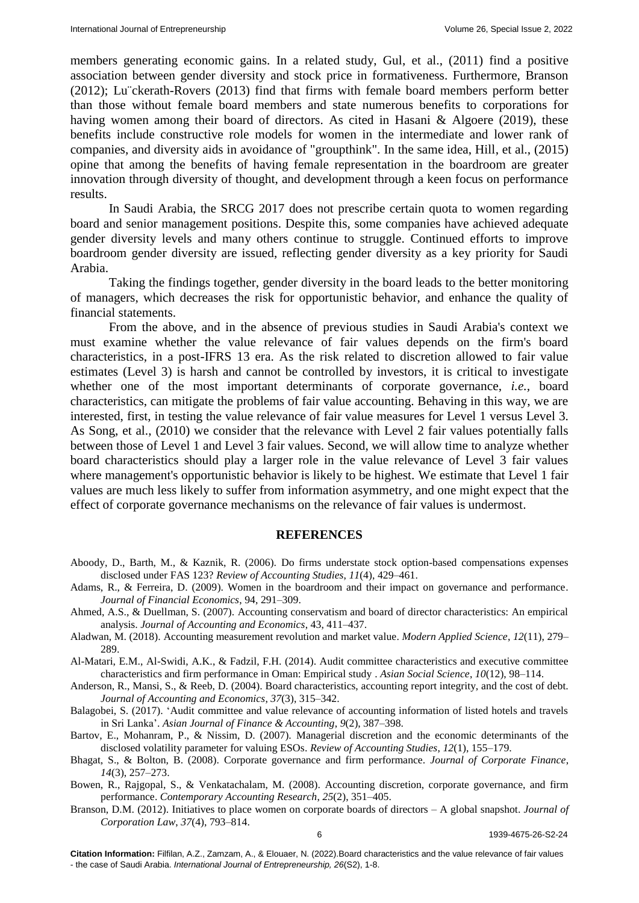members generating economic gains. In a related study, Gul, et al., (2011) find a positive association between gender diversity and stock price in formativeness. Furthermore, Branson (2012); Lu¨ckerath-Rovers (2013) find that firms with female board members perform better than those without female board members and state numerous benefits to corporations for having women among their board of directors. As cited in Hasani & Algoere (2019), these benefits include constructive role models for women in the intermediate and lower rank of companies, and diversity aids in avoidance of "groupthink". In the same idea, Hill, et al., (2015) opine that among the benefits of having female representation in the boardroom are greater innovation through diversity of thought, and development through a keen focus on performance results.

In Saudi Arabia, the SRCG 2017 does not prescribe certain quota to women regarding board and senior management positions. Despite this, some companies have achieved adequate gender diversity levels and many others continue to struggle. Continued efforts to improve boardroom gender diversity are issued, reflecting gender diversity as a key priority for Saudi Arabia.

Taking the findings together, gender diversity in the board leads to the better monitoring of managers, which decreases the risk for opportunistic behavior, and enhance the quality of financial statements.

From the above, and in the absence of previous studies in Saudi Arabia's context we must examine whether the value relevance of fair values depends on the firm's board characteristics, in a post-IFRS 13 era. As the risk related to discretion allowed to fair value estimates (Level 3) is harsh and cannot be controlled by investors, it is critical to investigate whether one of the most important determinants of corporate governance, *i.e.,* board characteristics, can mitigate the problems of fair value accounting. Behaving in this way, we are interested, first, in testing the value relevance of fair value measures for Level 1 versus Level 3. As Song, et al., (2010) we consider that the relevance with Level 2 fair values potentially falls between those of Level 1 and Level 3 fair values. Second, we will allow time to analyze whether board characteristics should play a larger role in the value relevance of Level 3 fair values where management's opportunistic behavior is likely to be highest. We estimate that Level 1 fair values are much less likely to suffer from information asymmetry, and one might expect that the effect of corporate governance mechanisms on the relevance of fair values is undermost.

#### **REFERENCES**

- Aboody, D., Barth, M., & Kaznik, R. (2006). [Do firms understate stock option-based compensations expenses](https://link.springer.com/article/10.1007/s11142-006-9013-0)  [disclosed under FAS 123?](https://link.springer.com/article/10.1007/s11142-006-9013-0) *Review of Accounting Studies*, *11*(4), 429–461.
- Adams, R., & Ferreira, D. (200[9\). Women in the boardroom and their impact on governance and performance.](https://papers.ssrn.com/sol3/papers.cfm?abstract_id=1107721)  *Journal of Financial Economics*, 94, 291–309.
- Ahmed, A.S., & Duellman, S. (2007). [Accounting conservatism and board of director characteristics: An empirical](https://linkinghub.elsevier.com/retrieve/pii/S0165410107000183)  [analysis.](https://linkinghub.elsevier.com/retrieve/pii/S0165410107000183) *Journal of Accounting and Economics*, 43, 411–437.
- Aladwan, M. (2018). [Accounting measurement revolution and market value.](https://www.ccsenet.org/journal/index.php/mas/article/view/0/37279) *Modern Applied Science*, *12*(11), 279– 289.
- Al-Matari, E.M., Al-Swidi, A.K., & Fadzil, F.H. (2014). [Audit committee characteristics and executive committee](https://www.ccsenet.org/journal/index.php/ass/article/view/37290)  [characteristics and firm performance in Oman: Empirical study](https://www.ccsenet.org/journal/index.php/ass/article/view/37290) . *Asian Social Science*, *10*(12), 98–114.

Anderson, R., Mansi, S., & Reeb, D. (2004). [Board characteristics, accounting report integrity, and the cost of debt.](https://linkinghub.elsevier.com/retrieve/pii/S0165410104000394) *Journal of Accounting and Economics*, *37*(3), 315–342.

Balagobei, S. (2017). [ʻAudit committee and value relevance of accounting information of listed hotels and travels](https://www.semanticscholar.org/paper/Audit-Committee-and-Value-Relevance-of-Accounting-Balagobei/c429e7cf7a6f23d8338d3429486f1fc63fc8eb60)  [in Sri Lanka'.](https://www.semanticscholar.org/paper/Audit-Committee-and-Value-Relevance-of-Accounting-Balagobei/c429e7cf7a6f23d8338d3429486f1fc63fc8eb60) *Asian Journal of Finance & Accounting*, *9*(2), 387–398.

Bartov, E., Mohanram, P., & Nissim, D. (2007). [Managerial discretion and the economic determinants of the](https://link.springer.com/article/10.1007/s11142-006-9024-x)  [disclosed volatility parameter for valuing ESOs.](https://link.springer.com/article/10.1007/s11142-006-9024-x) *Review of Accounting Studies*, *12*(1), 155–179.

Bhagat, S., & Bolton, B. (2008). [Corporate governance and firm performance.](https://www.semanticscholar.org/paper/Corporate-governance-and-firm-performance-Wen/15861d78ed420c0ceb0456c955866beb1b47840c) *Journal of Corporate Finance*, *14*(3), 257–273.

Bowen, R., Rajgopal, S., & Venkatachalam, M. (2008). [Accounting discretion, corporate governance, and firm](https://papers.ssrn.com/sol3/papers.cfm?abstract_id=367940)  [performance.](https://papers.ssrn.com/sol3/papers.cfm?abstract_id=367940) *Contemporary Accounting Research*, *25*(2), 351–405.

Branson, D.M. (2012). Initiatives to place women [on corporate boards of directors –](https://www.semanticscholar.org/paper/Initiatives-to-Place-Women-on-Corporate-Boards-of-Branson/ba4bc0464df69d8511cb42d4d0d024b307211f32) A global snapshot. *Journal of Corporation Law*, *37*(4), 793–814.

6 1939-4675-26-S2-24

**Citation Information:** Filfilan, A.Z., Zamzam, A., & Elouaer, N. (2022).Board characteristics and the value relevance of fair values - the case of Saudi Arabia. *International Journal of Entrepreneurship, 26*(S2), 1-8.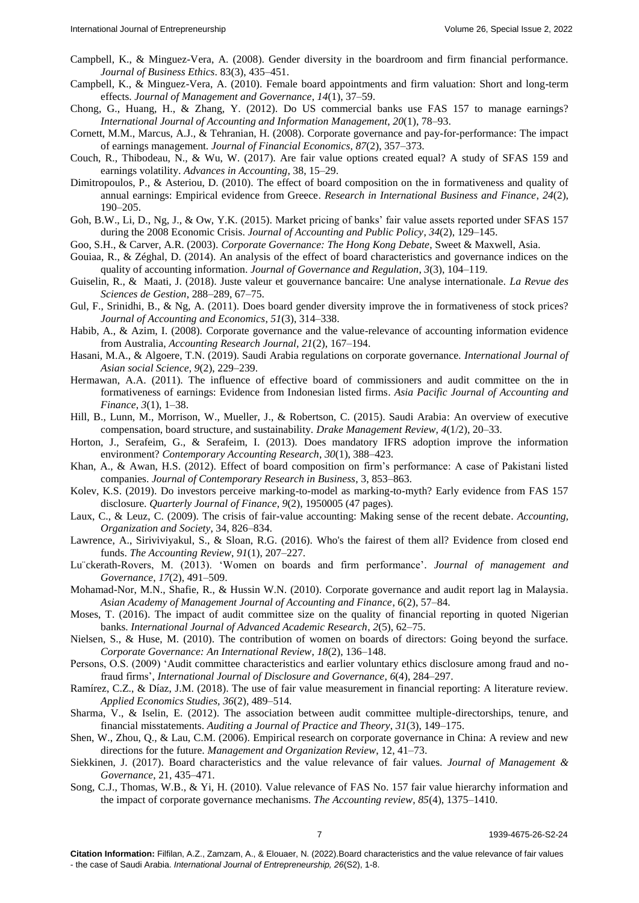- Campbell, K., & Minguez-Vera, A. (200[8\). Gender diversity in the boardroom and firm financial performance.](https://link.springer.com/article/10.1007/s10551-007-9630-y) *Journal of Business Ethics*. 83(3), 435–451.
- Campbell, K., & Minguez-Vera, A. (2010). [Female board appointments and firm valuation: Short and long-term](https://link.springer.com/article/10.1007/s10997-009-9092-y)  [effects.](https://link.springer.com/article/10.1007/s10997-009-9092-y) *Journal of Management and Governance*, *14*(1), 37–59.
- Chong, G., Huang, H., & Zhang, Y. (2012). [Do US commercial banks use FAS 157 to manage earnings?](https://www.emerald.com/insight/content/doi/10.1108/18347641211201090/full/html) *International Journal of Accounting and Information Management*, *20*(1), 78–93.
- Cornett, M.M., Marcus, A.J., & Tehranian, H. (2008). [Corporate governance and pay-for-performance: The impact](https://linkinghub.elsevier.com/retrieve/pii/S0304405X07001651)  [of earnings management.](https://linkinghub.elsevier.com/retrieve/pii/S0304405X07001651) *Journal of Financial Economics*, *87*(2), 357–373.
- Couch, R., Thibodeau, N., & Wu, W. (2017). [Are fair value options created equal? A study of SFAS 159 and](https://papers.ssrn.com/sol3/papers.cfm?abstract_id=2389742)  [earnings volatility.](https://papers.ssrn.com/sol3/papers.cfm?abstract_id=2389742) *Advances in Accounting*, 38, 15–29.
- Dimitropoulos, P., & Asteriou, D. (2010). [The effect of board composition on](https://linkinghub.elsevier.com/retrieve/pii/S0275531909000452) the in formativeness and quality of [annual earnings: Empirical evidence from Greece.](https://linkinghub.elsevier.com/retrieve/pii/S0275531909000452) *Research in International Business and Finance*, *24*(2), 190–205.
- Goh, B.W., Li, D., Ng, J., & Ow, Y.K. (2015). [Market pricing of banks' fair value assets reported under SFAS 157](https://www.semanticscholar.org/paper/Market-Pricing-of-Banks%E2%80%99-Fair-Value-Assets-Reported-Goh-Ng/93f4f925297a55d9fc4328e8e39a882967b0e27c)  [during the 2008 Economic Crisis.](https://www.semanticscholar.org/paper/Market-Pricing-of-Banks%E2%80%99-Fair-Value-Assets-Reported-Goh-Ng/93f4f925297a55d9fc4328e8e39a882967b0e27c) *Journal of Accounting and Public Policy*, *34*(2), 129–145.
- Goo, S.H., & Carver, A.R. (2003). *[Corporate Governance: The Hong Kong Debate](https://www.semanticscholar.org/paper/Corporate-Governance%3A-An-Asia-Pacific-Critique-Loke/74eece9c0770098c8056bcdb812d2671948e5800)*, Sweet & Maxwell, Asia.
- Gouiaa, R., & Zéghal, D. (2014). [An analysis of the effect of board characteristics and governance indices on the](https://virtusinterpress.org/AN-ANALYSIS-OF-THE-EFFECT-OF-BOARD.html)  [quality of accounting information.](https://virtusinterpress.org/AN-ANALYSIS-OF-THE-EFFECT-OF-BOARD.html) *Journal of Governance and Regulation*, *3*(3), 104–119.
- Guiselin, R., & Maati, J. (2018). [Juste valeur et gouvernance bancaire: Une analyse internationale.](https://www.cairn.info/revue-des-sciences-de-gestion-2018-1-page-67.htm) *La Revue des Sciences de Gestion*, 288–289, 67–75.
- Gul, F., Srinidhi, B., & Ng, A. (2011). [Does board gender diversity improve the](https://www.sciencedirect.com/science/article/abs/pii/S0165410111000176?via%3Dihub) in formativeness of stock prices? *Journal of Accounting and Economics*, *51*(3), 314–338.
- Habib, A., & Azim, I. (2008). [Corporate governance and the value-relevance of accounting information evidence](https://www.emerald.com/insight/content/doi/10.1108/10309610810905944/full/html)  [from Australia,](https://www.emerald.com/insight/content/doi/10.1108/10309610810905944/full/html) *Accounting Research Journal, 21*(2), 167–194.
- Hasani, M.A., & Algoere, T.N. (2019)[. Saudi Arabia regulations on corporate governance.](https://archive.aessweb.com/index.php/5007/article/view/3112) *International Journal of Asian social Science*, *9*(2), 229–239.
- Hermawan, A.A. (2011). The influence of effective board [of commissioners and audit committee on the in](https://www.semanticscholar.org/paper/THE-INFLUENCE-OF-EFFECTIVE-BOARD-OF-COMMISSIONERS-Hermawan/9f35048b92642e639a31bd9433d70afea3295708)  [formativeness of earnings: Evidence from Indonesian listed firms.](https://www.semanticscholar.org/paper/THE-INFLUENCE-OF-EFFECTIVE-BOARD-OF-COMMISSIONERS-Hermawan/9f35048b92642e639a31bd9433d70afea3295708) *Asia Pacific Journal of Accounting and Finance*, *3*(1), 1–38.
- Hill, B., Lunn, M., Morrison, W., Mueller, J., & Robertson, C. (2015). Saudi Arabi[a: An overview of executive](https://escholarshare.drake.edu/bitstream/handle/2092/2187/DMR041205R.pdf?sequence=1)  [compensation, board structure, and sustainability.](https://escholarshare.drake.edu/bitstream/handle/2092/2187/DMR041205R.pdf?sequence=1) *Drake Management Review*, *4*(1/2), 20–33.
- Horton, J., Serafeim, G., & Serafeim, I. (2013). [Does mandatory IFRS adoption improve the information](https://onlinelibrary.wiley.com/doi/10.1111/j.1911-3846.2012.01159.x)  [environment?](https://onlinelibrary.wiley.com/doi/10.1111/j.1911-3846.2012.01159.x) *Contemporary Accounting Research*, *30*(1), 388–423.
- Khan, A., & Awan, H.S. (2012). [Effect of board composition on firm's performance: A case of Pakistani listed](https://journal-archieves15.webs.com/853-863.pdf)  [companies.](https://journal-archieves15.webs.com/853-863.pdf) *Journal of Contemporary Research in Business*, 3, 853–863.
- Kolev, K.S. (2019). [Do investors perceive marking-to-model as marking-to-myth? Early evidence from FAS 157](https://papers.ssrn.com/sol3/papers.cfm?abstract_id=1336368)  [disclosure.](https://papers.ssrn.com/sol3/papers.cfm?abstract_id=1336368) *Quarterly Journal of Finance*, *9*(2), 1950005 (47 pages).
- Laux, C., & Leuz, C. (2009). [The crisis of fair-value accounting: Making sense of the recent debate.](https://papers.ssrn.com/sol3/papers.cfm?abstract_id=1336368) *Accounting, Organization and Society*, 34, 826–834.
- Lawrence, A., Siriviviyakul, S., & Sloan, R.G. (2016). [Who's the fairest of them all? Evidence from closed end](https://meridian.allenpress.com/accounting-review/article-abstract/91/1/207/53578/Who-s-the-Fairest-of-Them-All-Evidence-from-Closed?redirectedFrom=fulltext)  [funds.](https://meridian.allenpress.com/accounting-review/article-abstract/91/1/207/53578/Who-s-the-Fairest-of-Them-All-Evidence-from-Closed?redirectedFrom=fulltext) *The Accounting Review*, *91*(1), 207–227.
- Lu¨ckerath-Rovers, M. (2013). ['Women on boards and firm performance'.](https://link.springer.com/article/10.1007/s10997-011-9186-1) *Journal of management and Governance*, *17*(2), 491–509.
- Mohamad-Nor, M.N., Shafie, R., & Hussin W.N. (2010). [Corporate governance and audit report lag in Malaysia.](https://www.semanticscholar.org/paper/Corporate-Governance-and-Audit-Report-Lag-in-Naimi-Rohami/96cde52a456cd8ccaa14d53256168fa0b5f00165)  *Asian Academy of Management Journal of Accounting and Finance*, *6*(2), 57–84.
- Moses, T. (2016). [The impact of audit committee size on the quality of financial reporting in quoted Nigerian](https://www.ijaar.org/articles/volume2-number5/Social-Management-Sciences/ijaar-sms-v2n5-may16-p7.pdf)  [banks.](https://www.ijaar.org/articles/volume2-number5/Social-Management-Sciences/ijaar-sms-v2n5-may16-p7.pdf) *International Journal of Advanced Academic Research*, *2*(5), 62–75.
- Nielsen, S., & Huse, M. (2010). [The contribution of women on boards of directors: Going beyond the surface.](https://onlinelibrary.wiley.com/doi/10.1111/j.1467-8683.2010.00784.x) *Corporate Governance: An International Review*, *18*(2), 136–148.
- Persons, O.S. (2009) ['Audit committee characteristics and earlier voluntary ethics disclosure among fraud and no](https://link.springer.com/article/10.1057/jdg.2008.29)[fraud firms',](https://link.springer.com/article/10.1057/jdg.2008.29) *International Journal of Disclosure and Governance*, *6*(4), 284–297.
- Ramírez, C.Z., & Díaz, J.M. (2018). The use of fair value [measurement in financial reporting: A literature review.](https://ojs.ual.es/ojs/index.php/eea/article/view/2540) *Applied Economics Studies, 36*(2), 489–514.
- Sharma, V., & Iselin, E. (201[2\). The association between audit committee multiple-directorships, tenure, and](https://meridian.allenpress.com/ajpt/article-abstract/31/3/149/54557/The-Association-between-Audit-Committee-Multiple?redirectedFrom=fulltext)  [financial misstatements.](https://meridian.allenpress.com/ajpt/article-abstract/31/3/149/54557/The-Association-between-Audit-Committee-Multiple?redirectedFrom=fulltext) *Auditing a Journal of Practice and Theory*, *31*(3), 149–175.
- Shen, W., Zhou, Q., & Lau, C.M. (2006). [Empirical research on corporate governance in China: A review and new](https://www.cambridge.org/core/journals/management-and-organization-review/article/empirical-research-on-corporate-governance-in-china-a-review-and-new-directions-for-the-future/81AF94DA3D7EE1D7B3FCE74EEED65D79)  [directions for the future.](https://www.cambridge.org/core/journals/management-and-organization-review/article/empirical-research-on-corporate-governance-in-china-a-review-and-new-directions-for-the-future/81AF94DA3D7EE1D7B3FCE74EEED65D79) *Management and Organization Review*, 12, 41–73.
- Siekkinen, J. (2017). [Board characteristics and the value relevance of fair values.](https://link.springer.com/article/10.1007/s10997-016-9350-8) *Journal of Management & Governance*, 21, 435–471.
- Song, C.J., Thomas, W.B., & Yi, H. (2010). [Value relevance of FAS No. 157 fair value hierarchy information and](https://meridian.allenpress.com/accounting-review/article-abstract/85/4/1375/68474/Value-Relevance-of-FAS-No-157-Fair-Value-Hierarchy?redirectedFrom=fulltext)  [the impact of corporate governance mechanisms.](https://meridian.allenpress.com/accounting-review/article-abstract/85/4/1375/68474/Value-Relevance-of-FAS-No-157-Fair-Value-Hierarchy?redirectedFrom=fulltext) *The Accounting review, 85*(4), 1375–1410.